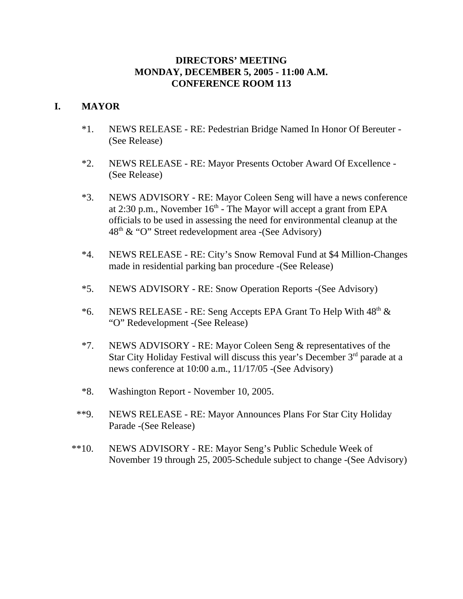### **DIRECTORS' MEETING MONDAY, DECEMBER 5, 2005 - 11:00 A.M. CONFERENCE ROOM 113**

### **I. MAYOR**

- \*1. NEWS RELEASE RE: Pedestrian Bridge Named In Honor Of Bereuter (See Release)
- \*2. NEWS RELEASE RE: Mayor Presents October Award Of Excellence (See Release)
- \*3. NEWS ADVISORY RE: Mayor Coleen Seng will have a news conference at 2:30 p.m., November  $16<sup>th</sup>$  - The Mayor will accept a grant from EPA officials to be used in assessing the need for environmental cleanup at the  $48<sup>th</sup>$  & "O" Street redevelopment area -(See Advisory)
- \*4. NEWS RELEASE RE: City's Snow Removal Fund at \$4 Million-Changes made in residential parking ban procedure -(See Release)
- \*5. NEWS ADVISORY RE: Snow Operation Reports -(See Advisory)
- \*6. NEWS RELEASE RE: Seng Accepts EPA Grant To Help With  $48<sup>th</sup>$  & "O" Redevelopment -(See Release)
- \*7. NEWS ADVISORY RE: Mayor Coleen Seng & representatives of the Star City Holiday Festival will discuss this year's December 3<sup>rd</sup> parade at a news conference at 10:00 a.m., 11/17/05 -(See Advisory)
- \*8. Washington Report November 10, 2005.
- \*\*9. NEWS RELEASE RE: Mayor Announces Plans For Star City Holiday Parade -(See Release)
- \*\*10. NEWS ADVISORY RE: Mayor Seng's Public Schedule Week of November 19 through 25, 2005-Schedule subject to change -(See Advisory)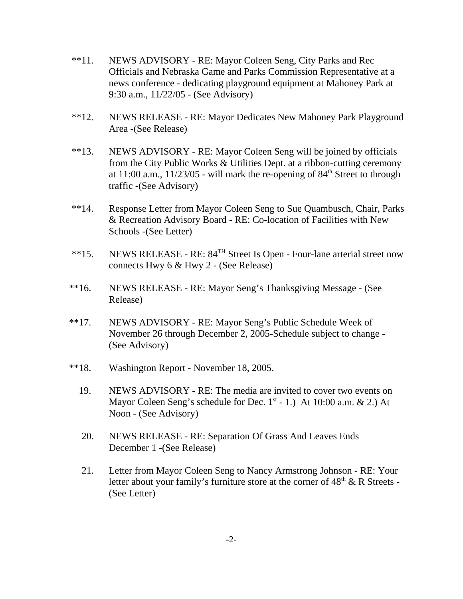- \*\*11. NEWS ADVISORY RE: Mayor Coleen Seng, City Parks and Rec Officials and Nebraska Game and Parks Commission Representative at a news conference - dedicating playground equipment at Mahoney Park at 9:30 a.m., 11/22/05 - (See Advisory)
- \*\*12. NEWS RELEASE RE: Mayor Dedicates New Mahoney Park Playground Area -(See Release)
- \*\*13. NEWS ADVISORY RE: Mayor Coleen Seng will be joined by officials from the City Public Works & Utilities Dept. at a ribbon-cutting ceremony at  $11:00$  a.m.,  $11/23/05$  - will mark the re-opening of  $84<sup>th</sup>$  Street to through traffic -(See Advisory)
- \*\*14. Response Letter from Mayor Coleen Seng to Sue Quambusch, Chair, Parks & Recreation Advisory Board - RE: Co-location of Facilities with New Schools -(See Letter)
- \*\*15. NEWS RELEASE RE: 84TH Street Is Open Four-lane arterial street now connects Hwy 6 & Hwy 2 - (See Release)
- \*\*16. NEWS RELEASE RE: Mayor Seng's Thanksgiving Message (See Release)
- \*\*17. NEWS ADVISORY RE: Mayor Seng's Public Schedule Week of November 26 through December 2, 2005-Schedule subject to change - (See Advisory)
- \*\*18. Washington Report November 18, 2005.
	- 19. NEWS ADVISORY RE: The media are invited to cover two events on Mayor Coleen Seng's schedule for Dec.  $1^{st}$  - 1.) At 10:00 a.m. & 2.) At Noon - (See Advisory)
	- 20. NEWS RELEASE RE: Separation Of Grass And Leaves Ends December 1 -(See Release)
	- 21. Letter from Mayor Coleen Seng to Nancy Armstrong Johnson RE: Your letter about your family's furniture store at the corner of  $48<sup>th</sup>$  & R Streets -(See Letter)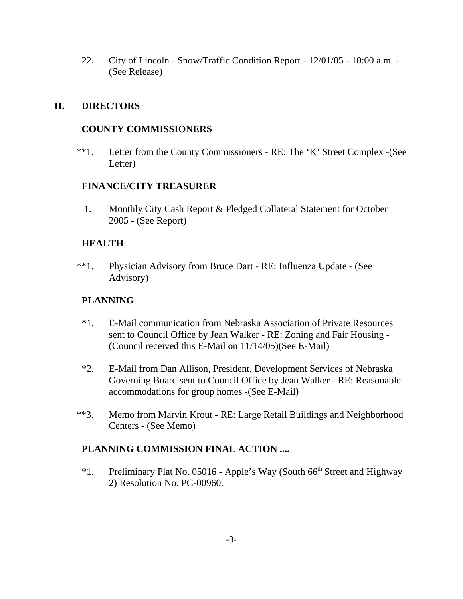22. City of Lincoln - Snow/Traffic Condition Report - 12/01/05 - 10:00 a.m. - (See Release)

# **II. DIRECTORS**

# **COUNTY COMMISSIONERS**

\*\*1. Letter from the County Commissioners - RE: The 'K' Street Complex -(See Letter)

# **FINANCE/CITY TREASURER**

 1. Monthly City Cash Report & Pledged Collateral Statement for October 2005 - (See Report)

# **HEALTH**

 \*\*1. Physician Advisory from Bruce Dart - RE: Influenza Update - (See Advisory)

# **PLANNING**

- \*1. E-Mail communication from Nebraska Association of Private Resources sent to Council Office by Jean Walker - RE: Zoning and Fair Housing - (Council received this E-Mail on 11/14/05)(See E-Mail)
- \*2. E-Mail from Dan Allison, President, Development Services of Nebraska Governing Board sent to Council Office by Jean Walker - RE: Reasonable accommodations for group homes -(See E-Mail)
- \*\*3. Memo from Marvin Krout RE: Large Retail Buildings and Neighborhood Centers - (See Memo)

# **PLANNING COMMISSION FINAL ACTION ....**

\*1. Preliminary Plat No. 05016 - Apple's Way (South 66<sup>th</sup> Street and Highway 2) Resolution No. PC-00960.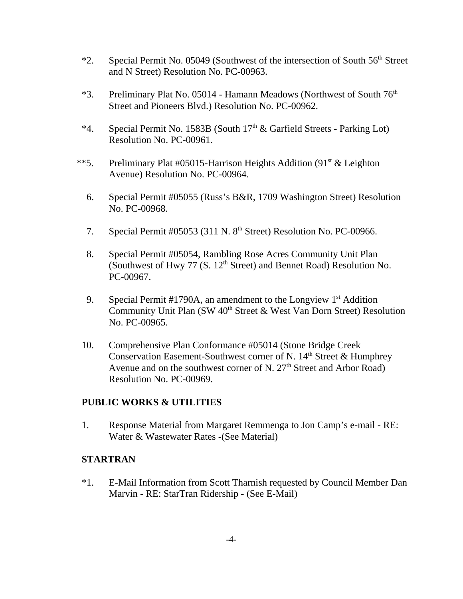- \*2. Special Permit No. 05049 (Southwest of the intersection of South  $56<sup>th</sup>$  Street and N Street) Resolution No. PC-00963.
- \*3. Preliminary Plat No. 05014 Hamann Meadows (Northwest of South 76<sup>th</sup>) Street and Pioneers Blvd.) Resolution No. PC-00962.
- \*4. Special Permit No. 1583B (South  $17<sup>th</sup>$  & Garfield Streets Parking Lot) Resolution No. PC-00961.
- \*\*5. Preliminary Plat #05015-Harrison Heights Addition (91<sup>st</sup> & Leighton Avenue) Resolution No. PC-00964.
	- 6. Special Permit #05055 (Russ's B&R, 1709 Washington Street) Resolution No. PC-00968.
	- 7. Special Permit #05053 (311 N.  $8<sup>th</sup>$  Street) Resolution No. PC-00966.
	- 8. Special Permit #05054, Rambling Rose Acres Community Unit Plan (Southwest of Hwy 77 (S.  $12<sup>th</sup>$  Street) and Bennet Road) Resolution No. PC-00967.
	- 9. Special Permit  $\#1790A$ , an amendment to the Longview  $1<sup>st</sup>$  Addition Community Unit Plan (SW  $40<sup>th</sup>$  Street & West Van Dorn Street) Resolution No. PC-00965.
- 10. Comprehensive Plan Conformance #05014 (Stone Bridge Creek Conservation Easement-Southwest corner of N.  $14<sup>th</sup>$  Street & Humphrey Avenue and on the southwest corner of N.  $27<sup>th</sup>$  Street and Arbor Road) Resolution No. PC-00969.

# **PUBLIC WORKS & UTILITIES**

1. Response Material from Margaret Remmenga to Jon Camp's e-mail - RE: Water & Wastewater Rates -(See Material)

# **STARTRAN**

\*1. E-Mail Information from Scott Tharnish requested by Council Member Dan Marvin - RE: StarTran Ridership - (See E-Mail)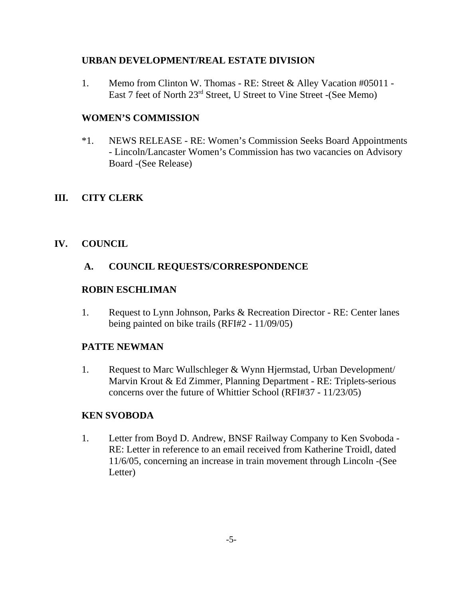# **URBAN DEVELOPMENT/REAL ESTATE DIVISION**

1. Memo from Clinton W. Thomas - RE: Street & Alley Vacation #05011 - East 7 feet of North 23<sup>rd</sup> Street, U Street to Vine Street -(See Memo)

# **WOMEN'S COMMISSION**

- \*1. NEWS RELEASE RE: Women's Commission Seeks Board Appointments - Lincoln/Lancaster Women's Commission has two vacancies on Advisory Board -(See Release)
- **III. CITY CLERK**

# **IV. COUNCIL**

# **A. COUNCIL REQUESTS/CORRESPONDENCE**

### **ROBIN ESCHLIMAN**

1. Request to Lynn Johnson, Parks & Recreation Director - RE: Center lanes being painted on bike trails (RFI#2 - 11/09/05)

# **PATTE NEWMAN**

1. Request to Marc Wullschleger & Wynn Hjermstad, Urban Development/ Marvin Krout & Ed Zimmer, Planning Department - RE: Triplets-serious concerns over the future of Whittier School (RFI#37 - 11/23/05)

# **KEN SVOBODA**

1. Letter from Boyd D. Andrew, BNSF Railway Company to Ken Svoboda - RE: Letter in reference to an email received from Katherine Troidl, dated 11/6/05, concerning an increase in train movement through Lincoln -(See Letter)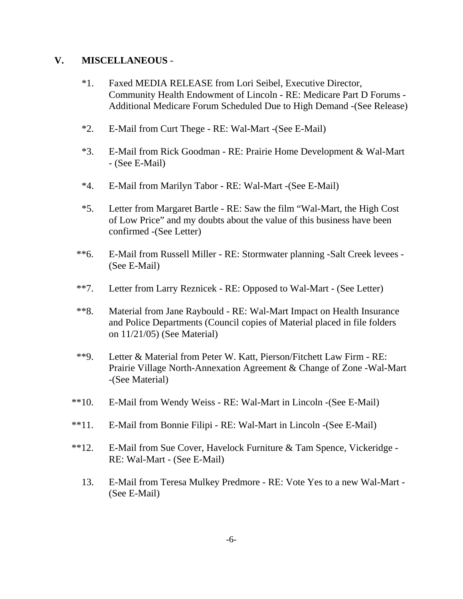### **V. MISCELLANEOUS** -

- \*1. Faxed MEDIA RELEASE from Lori Seibel, Executive Director, Community Health Endowment of Lincoln - RE: Medicare Part D Forums - Additional Medicare Forum Scheduled Due to High Demand -(See Release)
- \*2. E-Mail from Curt Thege RE: Wal-Mart -(See E-Mail)
- \*3. E-Mail from Rick Goodman RE: Prairie Home Development & Wal-Mart - (See E-Mail)
- \*4. E-Mail from Marilyn Tabor RE: Wal-Mart -(See E-Mail)
- \*5. Letter from Margaret Bartle RE: Saw the film "Wal-Mart, the High Cost of Low Price" and my doubts about the value of this business have been confirmed -(See Letter)
- \*\*6. E-Mail from Russell Miller RE: Stormwater planning -Salt Creek levees (See E-Mail)
- \*\*7. Letter from Larry Reznicek RE: Opposed to Wal-Mart (See Letter)
- \*\*8. Material from Jane Raybould RE: Wal-Mart Impact on Health Insurance and Police Departments (Council copies of Material placed in file folders on 11/21/05) (See Material)
- \*\*9. Letter & Material from Peter W. Katt, Pierson/Fitchett Law Firm RE: Prairie Village North-Annexation Agreement & Change of Zone -Wal-Mart -(See Material)
- \*\*10. E-Mail from Wendy Weiss RE: Wal-Mart in Lincoln -(See E-Mail)
- \*\*11. E-Mail from Bonnie Filipi RE: Wal-Mart in Lincoln -(See E-Mail)
- \*\*12. E-Mail from Sue Cover, Havelock Furniture & Tam Spence, Vickeridge RE: Wal-Mart - (See E-Mail)
	- 13. E-Mail from Teresa Mulkey Predmore RE: Vote Yes to a new Wal-Mart (See E-Mail)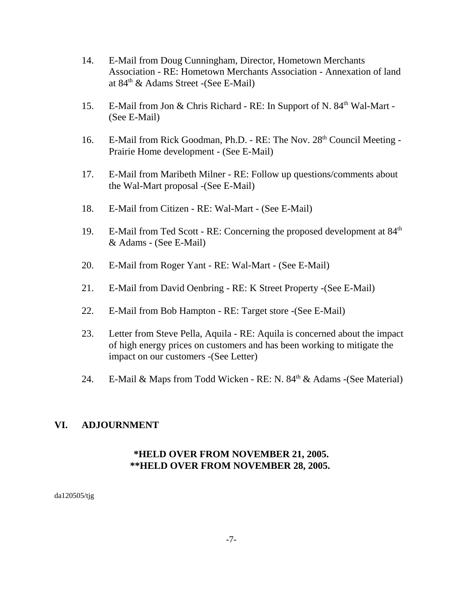- 14. E-Mail from Doug Cunningham, Director, Hometown Merchants Association - RE: Hometown Merchants Association - Annexation of land at  $84<sup>th</sup>$  & Adams Street -(See E-Mail)
- 15. E-Mail from Jon & Chris Richard RE: In Support of N. 84<sup>th</sup> Wal-Mart -(See E-Mail)
- 16. E-Mail from Rick Goodman, Ph.D. RE: The Nov. 28<sup>th</sup> Council Meeting -Prairie Home development - (See E-Mail)
- 17. E-Mail from Maribeth Milner RE: Follow up questions/comments about the Wal-Mart proposal -(See E-Mail)
- 18. E-Mail from Citizen RE: Wal-Mart (See E-Mail)
- 19. E-Mail from Ted Scott RE: Concerning the proposed development at  $84<sup>th</sup>$ & Adams - (See E-Mail)
- 20. E-Mail from Roger Yant RE: Wal-Mart (See E-Mail)
- 21. E-Mail from David Oenbring RE: K Street Property -(See E-Mail)
- 22. E-Mail from Bob Hampton RE: Target store -(See E-Mail)
- 23. Letter from Steve Pella, Aquila RE: Aquila is concerned about the impact of high energy prices on customers and has been working to mitigate the impact on our customers -(See Letter)
- 24. E-Mail & Maps from Todd Wicken RE: N.  $84<sup>th</sup>$  & Adams -(See Material)

### **VI. ADJOURNMENT**

# **\*HELD OVER FROM NOVEMBER 21, 2005. \*\*HELD OVER FROM NOVEMBER 28, 2005.**

#### da120505/tjg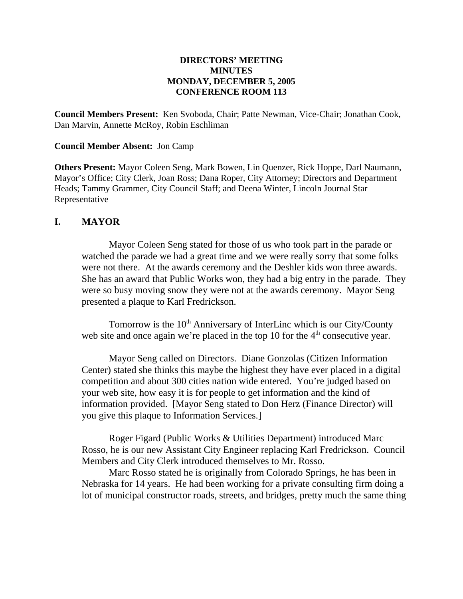### **DIRECTORS' MEETING MINUTES MONDAY, DECEMBER 5, 2005 CONFERENCE ROOM 113**

**Council Members Present:** Ken Svoboda, Chair; Patte Newman, Vice-Chair; Jonathan Cook, Dan Marvin, Annette McRoy, Robin Eschliman

#### **Council Member Absent:** Jon Camp

**Others Present:** Mayor Coleen Seng, Mark Bowen, Lin Quenzer, Rick Hoppe, Darl Naumann, Mayor's Office; City Clerk, Joan Ross; Dana Roper, City Attorney; Directors and Department Heads; Tammy Grammer, City Council Staff; and Deena Winter, Lincoln Journal Star Representative

### **I. MAYOR**

Mayor Coleen Seng stated for those of us who took part in the parade or watched the parade we had a great time and we were really sorry that some folks were not there. At the awards ceremony and the Deshler kids won three awards. She has an award that Public Works won, they had a big entry in the parade. They were so busy moving snow they were not at the awards ceremony. Mayor Seng presented a plaque to Karl Fredrickson.

Tomorrow is the  $10<sup>th</sup>$  Anniversary of InterLinc which is our City/County web site and once again we're placed in the top 10 for the 4<sup>th</sup> consecutive year.

Mayor Seng called on Directors. Diane Gonzolas (Citizen Information Center) stated she thinks this maybe the highest they have ever placed in a digital competition and about 300 cities nation wide entered. You're judged based on your web site, how easy it is for people to get information and the kind of information provided. [Mayor Seng stated to Don Herz (Finance Director) will you give this plaque to Information Services.]

Roger Figard (Public Works & Utilities Department) introduced Marc Rosso, he is our new Assistant City Engineer replacing Karl Fredrickson. Council Members and City Clerk introduced themselves to Mr. Rosso.

Marc Rosso stated he is originally from Colorado Springs, he has been in Nebraska for 14 years. He had been working for a private consulting firm doing a lot of municipal constructor roads, streets, and bridges, pretty much the same thing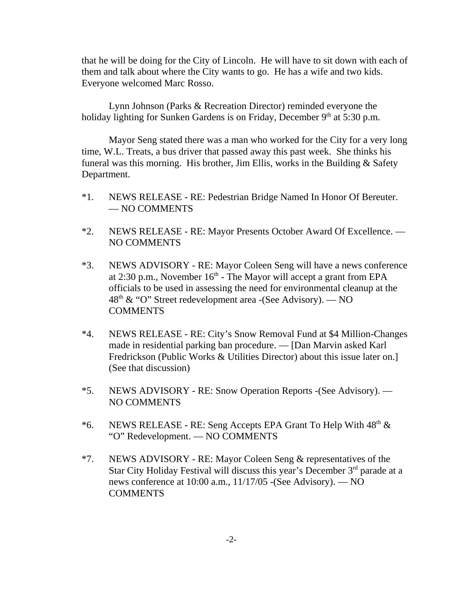that he will be doing for the City of Lincoln. He will have to sit down with each of them and talk about where the City wants to go. He has a wife and two kids. Everyone welcomed Marc Rosso.

Lynn Johnson (Parks & Recreation Director) reminded everyone the holiday lighting for Sunken Gardens is on Friday, December  $9<sup>th</sup>$  at 5:30 p.m.

Mayor Seng stated there was a man who worked for the City for a very long time, W.L. Treats, a bus driver that passed away this past week. She thinks his funeral was this morning. His brother, Jim Ellis, works in the Building & Safety Department.

- \*1. NEWS RELEASE RE: Pedestrian Bridge Named In Honor Of Bereuter. — NO COMMENTS
- \*2. NEWS RELEASE RE: Mayor Presents October Award Of Excellence. NO COMMENTS
- \*3. NEWS ADVISORY RE: Mayor Coleen Seng will have a news conference at 2:30 p.m., November  $16<sup>th</sup>$  - The Mayor will accept a grant from EPA officials to be used in assessing the need for environmental cleanup at the  $48<sup>th</sup>$  & "O" Street redevelopment area -(See Advisory). — NO **COMMENTS**
- \*4. NEWS RELEASE RE: City's Snow Removal Fund at \$4 Million-Changes made in residential parking ban procedure. — [Dan Marvin asked Karl Fredrickson (Public Works & Utilities Director) about this issue later on. (See that discussion)
- \*5. NEWS ADVISORY RE: Snow Operation Reports -(See Advisory). NO COMMENTS
- \*6. NEWS RELEASE RE: Seng Accepts EPA Grant To Help With  $48<sup>th</sup> \&$ "O" Redevelopment. — NO COMMENTS
- \*7. NEWS ADVISORY RE: Mayor Coleen Seng & representatives of the Star City Holiday Festival will discuss this year's December 3rd parade at a news conference at 10:00 a.m., 11/17/05 -(See Advisory). — NO COMMENTS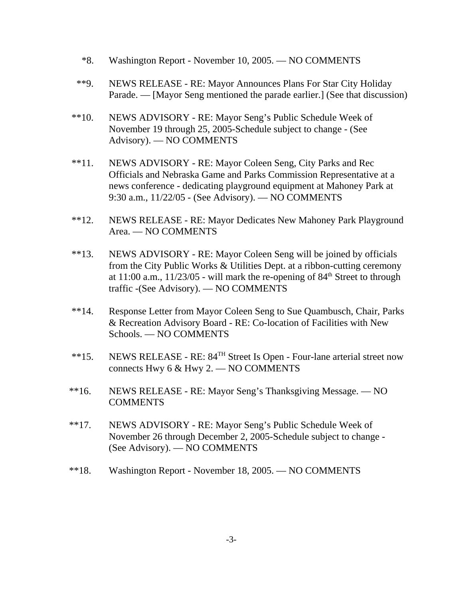- \*8. Washington Report November 10, 2005. NO COMMENTS
- \*\*9. NEWS RELEASE RE: Mayor Announces Plans For Star City Holiday Parade. — [Mayor Seng mentioned the parade earlier.] (See that discussion)
- \*\*10. NEWS ADVISORY RE: Mayor Seng's Public Schedule Week of November 19 through 25, 2005-Schedule subject to change - (See Advisory). — NO COMMENTS
- \*\*11. NEWS ADVISORY RE: Mayor Coleen Seng, City Parks and Rec Officials and Nebraska Game and Parks Commission Representative at a news conference - dedicating playground equipment at Mahoney Park at 9:30 a.m., 11/22/05 - (See Advisory). — NO COMMENTS
- \*\*12. NEWS RELEASE RE: Mayor Dedicates New Mahoney Park Playground Area. — NO COMMENTS
- \*\*13. NEWS ADVISORY RE: Mayor Coleen Seng will be joined by officials from the City Public Works & Utilities Dept. at a ribbon-cutting ceremony at  $11:00$  a.m.,  $11/23/05$  - will mark the re-opening of  $84<sup>th</sup>$  Street to through traffic -(See Advisory). — NO COMMENTS
- \*\*14. Response Letter from Mayor Coleen Seng to Sue Quambusch, Chair, Parks & Recreation Advisory Board - RE: Co-location of Facilities with New Schools. — NO COMMENTS
- \*\*15. NEWS RELEASE RE: 84TH Street Is Open Four-lane arterial street now connects Hwy 6 & Hwy 2. — NO COMMENTS
- \*\*16. NEWS RELEASE RE: Mayor Seng's Thanksgiving Message. NO **COMMENTS**
- \*\*17. NEWS ADVISORY RE: Mayor Seng's Public Schedule Week of November 26 through December 2, 2005-Schedule subject to change - (See Advisory). — NO COMMENTS
- \*\*18. Washington Report November 18, 2005. NO COMMENTS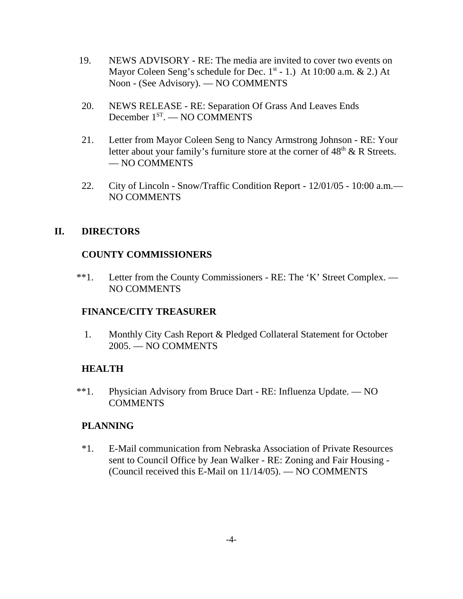- 19. NEWS ADVISORY RE: The media are invited to cover two events on Mayor Coleen Seng's schedule for Dec.  $1^{st}$  - 1.) At 10:00 a.m. & 2.) At Noon - (See Advisory). — NO COMMENTS
- 20. NEWS RELEASE RE: Separation Of Grass And Leaves Ends December  $1^{ST}$ . — NO COMMENTS
- 21. Letter from Mayor Coleen Seng to Nancy Armstrong Johnson RE: Your letter about your family's furniture store at the corner of  $48<sup>th</sup>$  & R Streets. — NO COMMENTS
- 22. City of Lincoln Snow/Traffic Condition Report 12/01/05 10:00 a.m.— NO COMMENTS

# **II. DIRECTORS**

# **COUNTY COMMISSIONERS**

\*\*1. Letter from the County Commissioners - RE: The 'K' Street Complex. — NO COMMENTS

# **FINANCE/CITY TREASURER**

 1. Monthly City Cash Report & Pledged Collateral Statement for October 2005. — NO COMMENTS

# **HEALTH**

 \*\*1. Physician Advisory from Bruce Dart - RE: Influenza Update. — NO **COMMENTS** 

# **PLANNING**

\*1. E-Mail communication from Nebraska Association of Private Resources sent to Council Office by Jean Walker - RE: Zoning and Fair Housing - (Council received this E-Mail on 11/14/05). — NO COMMENTS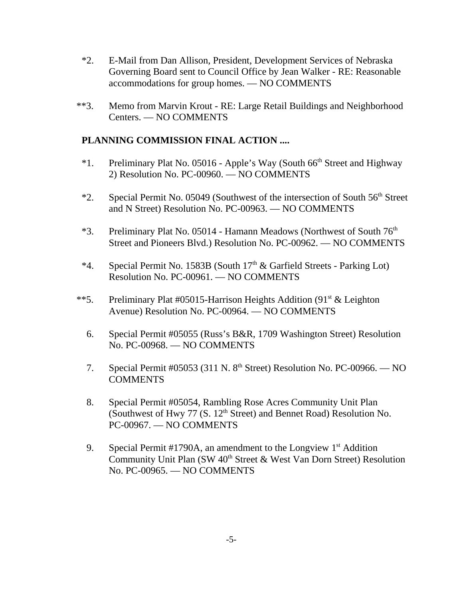- \*2. E-Mail from Dan Allison, President, Development Services of Nebraska Governing Board sent to Council Office by Jean Walker - RE: Reasonable accommodations for group homes. — NO COMMENTS
- \*\*3. Memo from Marvin Krout RE: Large Retail Buildings and Neighborhood Centers. — NO COMMENTS

# **PLANNING COMMISSION FINAL ACTION ....**

- \*1. Preliminary Plat No. 05016 Apple's Way (South  $66<sup>th</sup>$  Street and Highway 2) Resolution No. PC-00960. — NO COMMENTS
- \*2. Special Permit No. 05049 (Southwest of the intersection of South 56<sup>th</sup> Street and N Street) Resolution No. PC-00963. — NO COMMENTS
- \*3. Preliminary Plat No. 05014 Hamann Meadows (Northwest of South 76<sup>th</sup>) Street and Pioneers Blvd.) Resolution No. PC-00962. — NO COMMENTS
- \*4. Special Permit No. 1583B (South  $17<sup>th</sup>$  & Garfield Streets Parking Lot) Resolution No. PC-00961. — NO COMMENTS
- \*\*5. Preliminary Plat #05015-Harrison Heights Addition (91<sup>st</sup> & Leighton Avenue) Resolution No. PC-00964. — NO COMMENTS
	- 6. Special Permit #05055 (Russ's B&R, 1709 Washington Street) Resolution No. PC-00968. — NO COMMENTS
	- 7. Special Permit #05053 (311 N.  $8<sup>th</sup>$  Street) Resolution No. PC-00966. NO COMMENTS
	- 8. Special Permit #05054, Rambling Rose Acres Community Unit Plan (Southwest of Hwy 77 (S.  $12<sup>th</sup>$  Street) and Bennet Road) Resolution No. PC-00967. — NO COMMENTS
	- 9. Special Permit  $\#1790A$ , an amendment to the Longview  $1<sup>st</sup>$  Addition Community Unit Plan (SW  $40<sup>th</sup>$  Street & West Van Dorn Street) Resolution No. PC-00965. — NO COMMENTS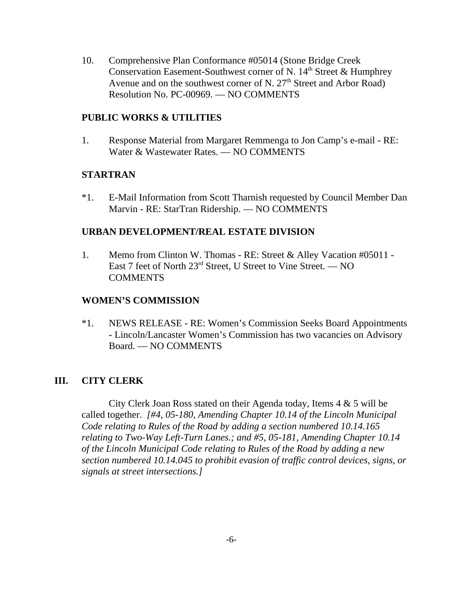10. Comprehensive Plan Conformance #05014 (Stone Bridge Creek Conservation Easement-Southwest corner of N.  $14<sup>th</sup>$  Street & Humphrey Avenue and on the southwest corner of N.  $27<sup>th</sup>$  Street and Arbor Road) Resolution No. PC-00969. — NO COMMENTS

### **PUBLIC WORKS & UTILITIES**

1. Response Material from Margaret Remmenga to Jon Camp's e-mail - RE: Water & Wastewater Rates. — NO COMMENTS

# **STARTRAN**

\*1. E-Mail Information from Scott Tharnish requested by Council Member Dan Marvin - RE: StarTran Ridership. — NO COMMENTS

### **URBAN DEVELOPMENT/REAL ESTATE DIVISION**

1. Memo from Clinton W. Thomas - RE: Street & Alley Vacation #05011 - East 7 feet of North 23<sup>rd</sup> Street, U Street to Vine Street. — NO COMMENTS

### **WOMEN'S COMMISSION**

\*1. NEWS RELEASE - RE: Women's Commission Seeks Board Appointments - Lincoln/Lancaster Women's Commission has two vacancies on Advisory Board. — NO COMMENTS

# **III. CITY CLERK**

City Clerk Joan Ross stated on their Agenda today, Items 4 & 5 will be called together. *[#4, 05-180, Amending Chapter 10.14 of the Lincoln Municipal Code relating to Rules of the Road by adding a section numbered 10.14.165 relating to Two-Way Left-Turn Lanes.; and #5, 05-181, Amending Chapter 10.14 of the Lincoln Municipal Code relating to Rules of the Road by adding a new section numbered 10.14.045 to prohibit evasion of traffic control devices, signs, or signals at street intersections.]*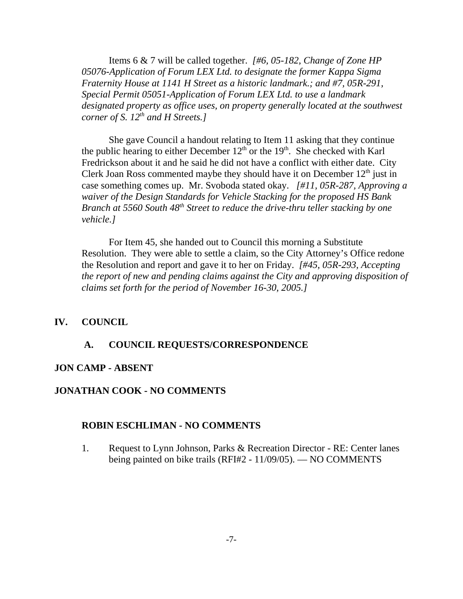Items 6 & 7 will be called together. *[#6, 05-182, Change of Zone HP 05076-Application of Forum LEX Ltd. to designate the former Kappa Sigma Fraternity House at 1141 H Street as a historic landmark.; and #7, 05R-291, Special Permit 05051-Application of Forum LEX Ltd. to use a landmark designated property as office uses, on property generally located at the southwest corner of S. 12<sup>th</sup> and H Streets.]* 

She gave Council a handout relating to Item 11 asking that they continue the public hearing to either December  $12<sup>th</sup>$  or the  $19<sup>th</sup>$ . She checked with Karl Fredrickson about it and he said he did not have a conflict with either date. City Clerk Joan Ross commented maybe they should have it on December  $12<sup>th</sup>$  just in case something comes up. Mr. Svoboda stated okay. *[#11, 05R-287, Approving a waiver of the Design Standards for Vehicle Stacking for the proposed HS Bank Branch at 5560 South 48th Street to reduce the drive-thru teller stacking by one vehicle.]* 

For Item 45, she handed out to Council this morning a Substitute Resolution. They were able to settle a claim, so the City Attorney's Office redone the Resolution and report and gave it to her on Friday. *[#45, 05R-293, Accepting the report of new and pending claims against the City and approving disposition of claims set forth for the period of November 16-30, 2005.]* 

### **IV. COUNCIL**

### **A. COUNCIL REQUESTS/CORRESPONDENCE**

### **JON CAMP - ABSENT**

#### **JONATHAN COOK - NO COMMENTS**

#### **ROBIN ESCHLIMAN - NO COMMENTS**

1. Request to Lynn Johnson, Parks & Recreation Director - RE: Center lanes being painted on bike trails (RFI#2 - 11/09/05). — NO COMMENTS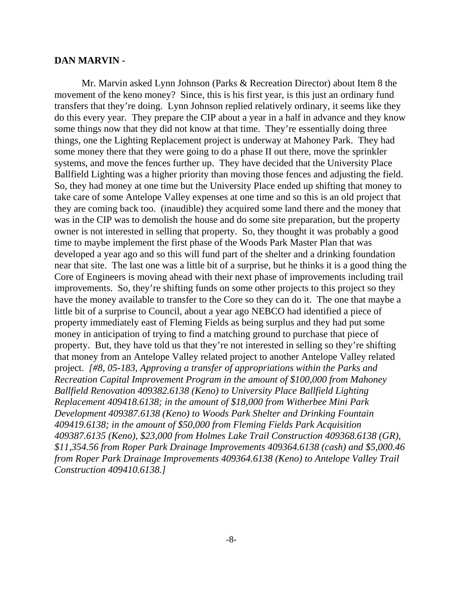#### **DAN MARVIN -**

Mr. Marvin asked Lynn Johnson (Parks & Recreation Director) about Item 8 the movement of the keno money? Since, this is his first year, is this just an ordinary fund transfers that they're doing. Lynn Johnson replied relatively ordinary, it seems like they do this every year. They prepare the CIP about a year in a half in advance and they know some things now that they did not know at that time. They're essentially doing three things, one the Lighting Replacement project is underway at Mahoney Park. They had some money there that they were going to do a phase II out there, move the sprinkler systems, and move the fences further up. They have decided that the University Place Ballfield Lighting was a higher priority than moving those fences and adjusting the field. So, they had money at one time but the University Place ended up shifting that money to take care of some Antelope Valley expenses at one time and so this is an old project that they are coming back too. (inaudible) they acquired some land there and the money that was in the CIP was to demolish the house and do some site preparation, but the property owner is not interested in selling that property. So, they thought it was probably a good time to maybe implement the first phase of the Woods Park Master Plan that was developed a year ago and so this will fund part of the shelter and a drinking foundation near that site. The last one was a little bit of a surprise, but he thinks it is a good thing the Core of Engineers is moving ahead with their next phase of improvements including trail improvements. So, they're shifting funds on some other projects to this project so they have the money available to transfer to the Core so they can do it. The one that maybe a little bit of a surprise to Council, about a year ago NEBCO had identified a piece of property immediately east of Fleming Fields as being surplus and they had put some money in anticipation of trying to find a matching ground to purchase that piece of property. But, they have told us that they're not interested in selling so they're shifting that money from an Antelope Valley related project to another Antelope Valley related project. *[#8, 05-183, Approving a transfer of appropriations within the Parks and Recreation Capital Improvement Program in the amount of \$100,000 from Mahoney Ballfield Renovation 409382.6138 (Keno) to University Place Ballfield Lighting Replacement 409418.6138; in the amount of \$18,000 from Witherbee Mini Park Development 409387.6138 (Keno) to Woods Park Shelter and Drinking Fountain 409419.6138; in the amount of \$50,000 from Fleming Fields Park Acquisition 409387.6135 (Keno), \$23,000 from Holmes Lake Trail Construction 409368.6138 (GR), \$11,354.56 from Roper Park Drainage Improvements 409364.6138 (cash) and \$5,000.46 from Roper Park Drainage Improvements 409364.6138 (Keno) to Antelope Valley Trail Construction 409410.6138.]*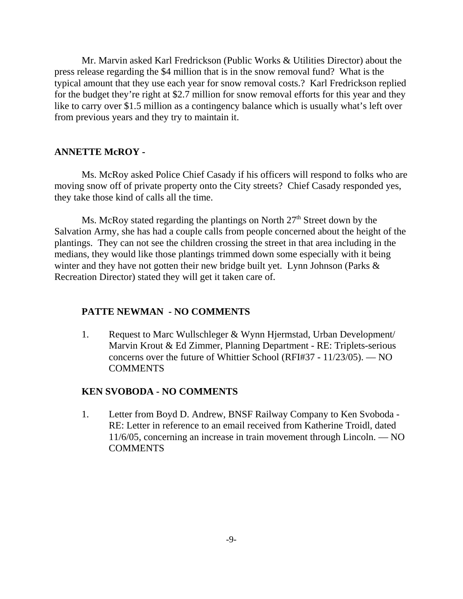Mr. Marvin asked Karl Fredrickson (Public Works & Utilities Director) about the press release regarding the \$4 million that is in the snow removal fund? What is the typical amount that they use each year for snow removal costs.? Karl Fredrickson replied for the budget they're right at \$2.7 million for snow removal efforts for this year and they like to carry over \$1.5 million as a contingency balance which is usually what's left over from previous years and they try to maintain it.

### **ANNETTE McROY -**

Ms. McRoy asked Police Chief Casady if his officers will respond to folks who are moving snow off of private property onto the City streets? Chief Casady responded yes, they take those kind of calls all the time.

Ms. McRoy stated regarding the plantings on North  $27<sup>th</sup>$  Street down by the Salvation Army, she has had a couple calls from people concerned about the height of the plantings. They can not see the children crossing the street in that area including in the medians, they would like those plantings trimmed down some especially with it being winter and they have not gotten their new bridge built yet. Lynn Johnson (Parks & Recreation Director) stated they will get it taken care of.

#### **PATTE NEWMAN - NO COMMENTS**

1. Request to Marc Wullschleger & Wynn Hjermstad, Urban Development/ Marvin Krout & Ed Zimmer, Planning Department - RE: Triplets-serious concerns over the future of Whittier School (RFI#37 - 11/23/05). — NO COMMENTS

#### **KEN SVOBODA - NO COMMENTS**

1. Letter from Boyd D. Andrew, BNSF Railway Company to Ken Svoboda - RE: Letter in reference to an email received from Katherine Troidl, dated 11/6/05, concerning an increase in train movement through Lincoln. — NO **COMMENTS**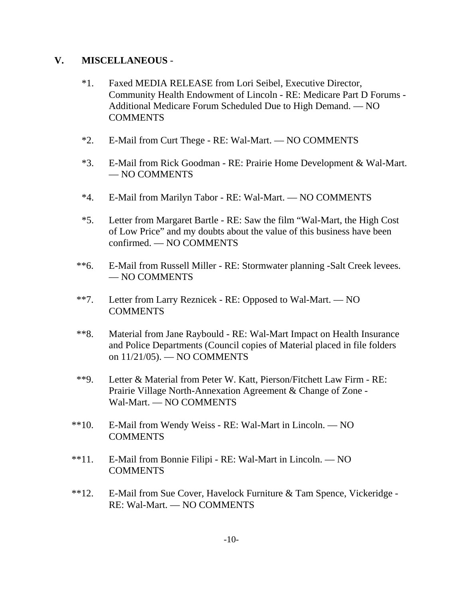### **V. MISCELLANEOUS** -

- \*1. Faxed MEDIA RELEASE from Lori Seibel, Executive Director, Community Health Endowment of Lincoln - RE: Medicare Part D Forums - Additional Medicare Forum Scheduled Due to High Demand. — NO COMMENTS
- \*2. E-Mail from Curt Thege RE: Wal-Mart. NO COMMENTS
- \*3. E-Mail from Rick Goodman RE: Prairie Home Development & Wal-Mart. — NO COMMENTS
- \*4. E-Mail from Marilyn Tabor RE: Wal-Mart. NO COMMENTS
- \*5. Letter from Margaret Bartle RE: Saw the film "Wal-Mart, the High Cost of Low Price" and my doubts about the value of this business have been confirmed. — NO COMMENTS
- \*\*6. E-Mail from Russell Miller RE: Stormwater planning -Salt Creek levees. — NO COMMENTS
- \*\*7. Letter from Larry Reznicek RE: Opposed to Wal-Mart. NO **COMMENTS**
- \*\*8. Material from Jane Raybould RE: Wal-Mart Impact on Health Insurance and Police Departments (Council copies of Material placed in file folders on 11/21/05). — NO COMMENTS
- \*\*9. Letter & Material from Peter W. Katt, Pierson/Fitchett Law Firm RE: Prairie Village North-Annexation Agreement & Change of Zone - Wal-Mart. — NO COMMENTS
- \*\*10. E-Mail from Wendy Weiss RE: Wal-Mart in Lincoln. NO **COMMENTS**
- \*\*11. E-Mail from Bonnie Filipi RE: Wal-Mart in Lincoln. NO **COMMENTS**
- \*\*12. E-Mail from Sue Cover, Havelock Furniture & Tam Spence, Vickeridge RE: Wal-Mart. — NO COMMENTS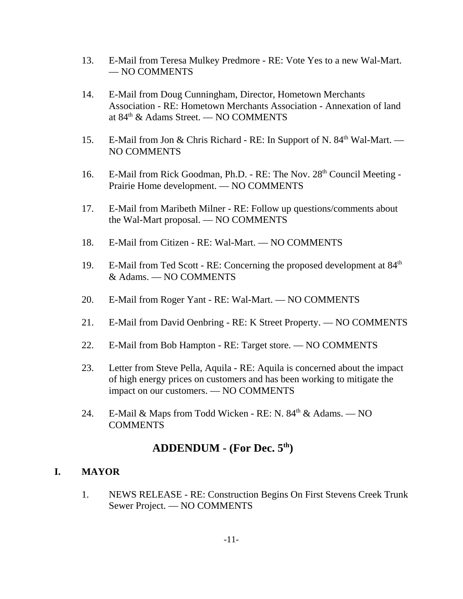- 13. E-Mail from Teresa Mulkey Predmore RE: Vote Yes to a new Wal-Mart. — NO COMMENTS
- 14. E-Mail from Doug Cunningham, Director, Hometown Merchants Association - RE: Hometown Merchants Association - Annexation of land at 84th & Adams Street. — NO COMMENTS
- 15. E-Mail from Jon & Chris Richard RE: In Support of N. 84<sup>th</sup> Wal-Mart. NO COMMENTS
- 16. E-Mail from Rick Goodman, Ph.D. RE: The Nov. 28<sup>th</sup> Council Meeting -Prairie Home development. — NO COMMENTS
- 17. E-Mail from Maribeth Milner RE: Follow up questions/comments about the Wal-Mart proposal. — NO COMMENTS
- 18. E-Mail from Citizen RE: Wal-Mart. NO COMMENTS
- 19. E-Mail from Ted Scott RE: Concerning the proposed development at  $84<sup>th</sup>$ & Adams. — NO COMMENTS
- 20. E-Mail from Roger Yant RE: Wal-Mart. NO COMMENTS
- 21. E-Mail from David Oenbring RE: K Street Property. NO COMMENTS
- 22. E-Mail from Bob Hampton RE: Target store. NO COMMENTS
- 23. Letter from Steve Pella, Aquila RE: Aquila is concerned about the impact of high energy prices on customers and has been working to mitigate the impact on our customers. — NO COMMENTS
- 24. E-Mail & Maps from Todd Wicken RE: N.  $84<sup>th</sup>$  & Adams. NO **COMMENTS**

# **ADDENDUM - (For Dec. 5th)**

# **I. MAYOR**

1. NEWS RELEASE - RE: Construction Begins On First Stevens Creek Trunk Sewer Project. — NO COMMENTS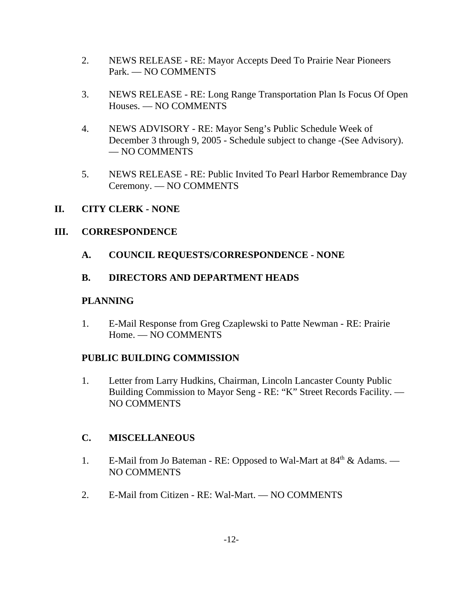- 2. NEWS RELEASE RE: Mayor Accepts Deed To Prairie Near Pioneers Park. — NO COMMENTS
- 3. NEWS RELEASE RE: Long Range Transportation Plan Is Focus Of Open Houses. — NO COMMENTS
- 4. NEWS ADVISORY RE: Mayor Seng's Public Schedule Week of December 3 through 9, 2005 - Schedule subject to change -(See Advisory). — NO COMMENTS
- 5. NEWS RELEASE RE: Public Invited To Pearl Harbor Remembrance Day Ceremony. — NO COMMENTS

# **II. CITY CLERK - NONE**

# **III. CORRESPONDENCE**

# **A. COUNCIL REQUESTS/CORRESPONDENCE - NONE**

# **B. DIRECTORS AND DEPARTMENT HEADS**

# **PLANNING**

1. E-Mail Response from Greg Czaplewski to Patte Newman - RE: Prairie Home. — NO COMMENTS

# **PUBLIC BUILDING COMMISSION**

1. Letter from Larry Hudkins, Chairman, Lincoln Lancaster County Public Building Commission to Mayor Seng - RE: "K" Street Records Facility. — NO COMMENTS

# **C. MISCELLANEOUS**

- 1. E-Mail from Jo Bateman RE: Opposed to Wal-Mart at 84<sup>th</sup> & Adams. NO COMMENTS
- 2. E-Mail from Citizen RE: Wal-Mart. NO COMMENTS